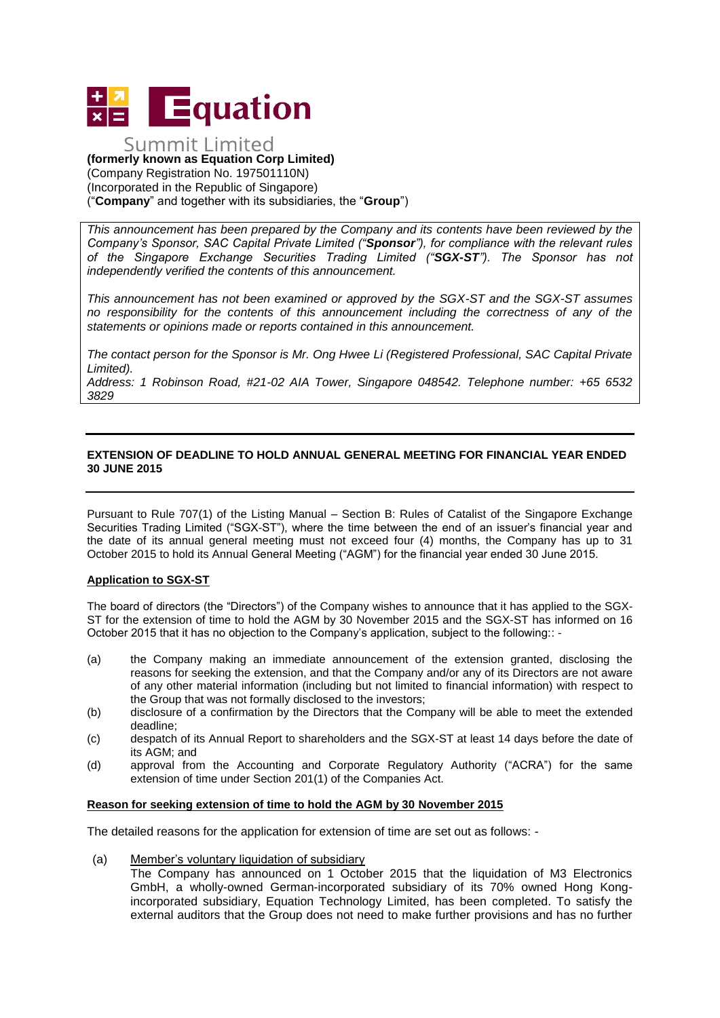

#### Summit Limited **(formerly known as Equation Corp Limited)**  (Company Registration No. 197501110N) (Incorporated in the Republic of Singapore) ("**Company**" and together with its subsidiaries, the "**Group**")

*This announcement has been prepared by the Company and its contents have been reviewed by the Company's Sponsor, SAC Capital Private Limited ("Sponsor"), for compliance with the relevant rules of the Singapore Exchange Securities Trading Limited ("SGX-ST"). The Sponsor has not independently verified the contents of this announcement.* 

*This announcement has not been examined or approved by the SGX-ST and the SGX-ST assumes no responsibility for the contents of this announcement including the correctness of any of the statements or opinions made or reports contained in this announcement.* 

*The contact person for the Sponsor is Mr. Ong Hwee Li (Registered Professional, SAC Capital Private Limited).* 

*Address: 1 Robinson Road, #21-02 AIA Tower, Singapore 048542. Telephone number: +65 6532 3829* 

### **EXTENSION OF DEADLINE TO HOLD ANNUAL GENERAL MEETING FOR FINANCIAL YEAR ENDED 30 JUNE 2015**

Pursuant to Rule 707(1) of the Listing Manual – Section B: Rules of Catalist of the Singapore Exchange Securities Trading Limited ("SGX-ST"), where the time between the end of an issuer's financial year and the date of its annual general meeting must not exceed four (4) months, the Company has up to 31 October 2015 to hold its Annual General Meeting ("AGM") for the financial year ended 30 June 2015.

#### **Application to SGX-ST**

The board of directors (the "Directors") of the Company wishes to announce that it has applied to the SGX-ST for the extension of time to hold the AGM by 30 November 2015 and the SGX-ST has informed on 16 October 2015 that it has no objection to the Company's application, subject to the following:: -

- (a) the Company making an immediate announcement of the extension granted, disclosing the reasons for seeking the extension, and that the Company and/or any of its Directors are not aware of any other material information (including but not limited to financial information) with respect to the Group that was not formally disclosed to the investors;
- (b) disclosure of a confirmation by the Directors that the Company will be able to meet the extended deadline;
- (c) despatch of its Annual Report to shareholders and the SGX-ST at least 14 days before the date of its AGM; and
- (d) approval from the Accounting and Corporate Regulatory Authority ("ACRA") for the same extension of time under Section 201(1) of the Companies Act.

#### **Reason for seeking extension of time to hold the AGM by 30 November 2015**

The detailed reasons for the application for extension of time are set out as follows: -

(a) Member's voluntary liquidation of subsidiary

The Company has announced on 1 October 2015 that the liquidation of M3 Electronics GmbH, a wholly-owned German-incorporated subsidiary of its 70% owned Hong Kongincorporated subsidiary, Equation Technology Limited, has been completed. To satisfy the external auditors that the Group does not need to make further provisions and has no further